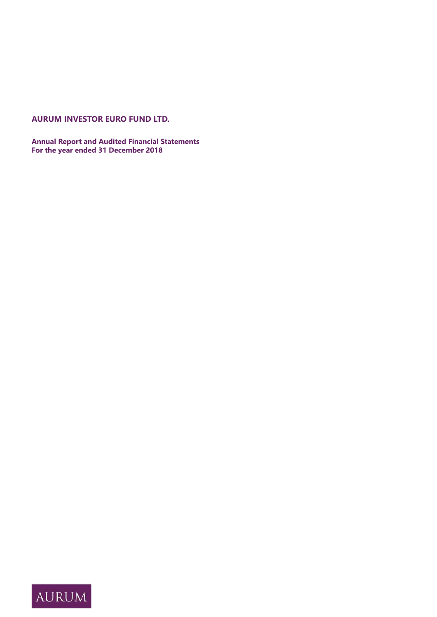# **AURUM INVESTOR EURO FUND LTD.**

**Annual Report and Audited Financial Statements For the year ended 31 December 2018**

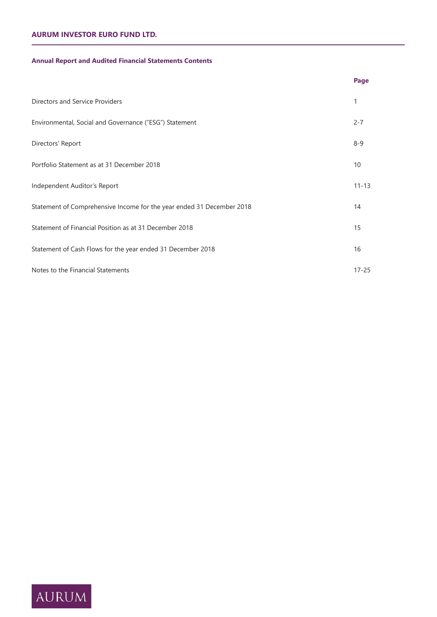# **Annual Report and Audited Financial Statements Contents**

|                                                                       | Page      |
|-----------------------------------------------------------------------|-----------|
| Directors and Service Providers                                       | 1         |
| Environmental, Social and Governance ("ESG") Statement                | $2 - 7$   |
| Directors' Report                                                     | $8 - 9$   |
| Portfolio Statement as at 31 December 2018                            | 10        |
| Independent Auditor's Report                                          | $11 - 13$ |
| Statement of Comprehensive Income for the year ended 31 December 2018 | 14        |
| Statement of Financial Position as at 31 December 2018                | 15        |
| Statement of Cash Flows for the year ended 31 December 2018           | 16        |
| Notes to the Financial Statements                                     | $17 - 25$ |

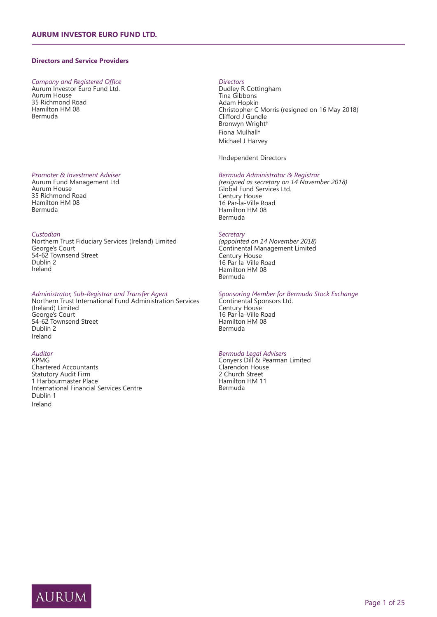## **Directors and Service Providers**

#### Company and Registered Office

Aurum Investor Euro Fund Ltd. Aurum House 35 Richmond Road Hamilton HM 08 Bermuda

#### *Promoter & Investment Adviser*

Aurum Fund Management Ltd. Aurum House 35 Richmond Road Hamilton HM 08 Bermuda

#### *Custodian*

Northern Trust Fiduciary Services (Ireland) Limited George's Court 54-62 Townsend Street Dublin 2 Ireland

#### *Administrator, Sub-Registrar and Transfer Agent*

Northern Trust International Fund Administration Services (Ireland) Limited George's Court 54-62 Townsend Street Dublin 2 Ireland

#### *Auditor*

KPMG Chartered Accountants Statutory Audit Firm 1 Harbourmaster Place International Financial Services Centre Dublin 1 Ireland

 $Directors$ 

Dudley R Cottingham Tina Gibbons Adam Hopkin Christopher C Morris (resigned on 16 May 2018) Clifford J Gundle Bronwyn Wright† Fiona Mulhall† Michael J Harvey

†Independent Directors

#### *Bermuda Administrator & Registrar*

*(resigned as secretary on 14 November 2018)* Global Fund Services Ltd. Century House 16 Par-la-Ville Road Hamilton HM 08 Bermuda

#### *SeFretar\*

*(appointed on 14 November 2018)* Continental Management Limited Century House 16 Par-la-Ville Road Hamilton HM 08 Bermuda

#### **Sponsoring Member for Bermuda Stock Exchange**

Continental Sponsors Ltd. Century House 16 Par-la-Ville Road Hamilton HM 08 Bermuda

#### *Bermuda Legal Advisers*

Conyers Dill & Pearman Limited Clarendon House 2 Church Street Hamilton HM 11 Bermuda

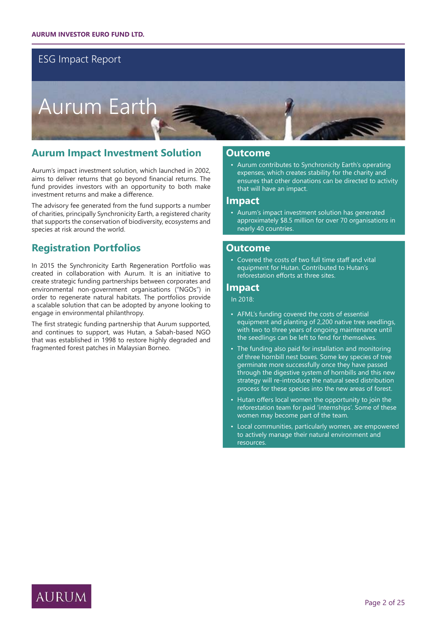ESG Impact Report

# Aurum Earth

# **Aurum Impact Investment Solution Outcome**

Aurum's impact investment solution, which launched in 2002, aims to deliver returns that go beyond financial returns. The fund provides investors with an opportunity to both make investment returns and make a difference.

The advisory fee generated from the fund supports a number of charities, principally Synchronicity Earth, a registered charity that supports the conservation of biodiversity, ecosystems and species at risk around the world.

# **Registration Portfolios Outcome**

In 2015 the Synchronicity Earth Regeneration Portfolio was created in collaboration with Aurum. It is an initiative to create strategic funding partnerships between corporates and environmental non-government organisations ("NGOs") in order to regenerate natural habitats. The portfolios provide a scalable solution that can be adopted by anyone looking to engage in environmental philanthropy.

The first strategic funding partnership that Aurum supported, and continues to support, was Hutan, a Sabah-based NGO that was established in 1998 to restore highly degraded and fragmented forest patches in Malaysian Borneo.

• Aurum contributes to Synchronicity Earth's operating expenses, which creates stability for the charity and ensures that other donations can be directed to activity that will have an impact.

# **Impact**

• Aurum's impact investment solution has generated approximately \$8.5 million for over 70 organisations in nearly 40 countries.

• Covered the costs of two full time staff and vital equipment for Hutan. Contributed to Hutan's reforestation efforts at three sites.

# **Impact**

In 2018:

- AFML's funding covered the costs of essential equipment and planting of 2,200 native tree seedlings, with two to three years of ongoing maintenance until the seedlings can be left to fend for themselves.
- The funding also paid for installation and monitoring of three hornbill nest boxes. Some key species of tree germinate more successfully once they have passed through the digestive system of hornbills and this new strategy will re-introduce the natural seed distribution process for these species into the new areas of forest.
- Hutan offers local women the opportunity to join the reforestation team for paid 'internships'. Some of these women may become part of the team.
- Local communities, particularly women, are empowered to actively manage their natural environment and resources.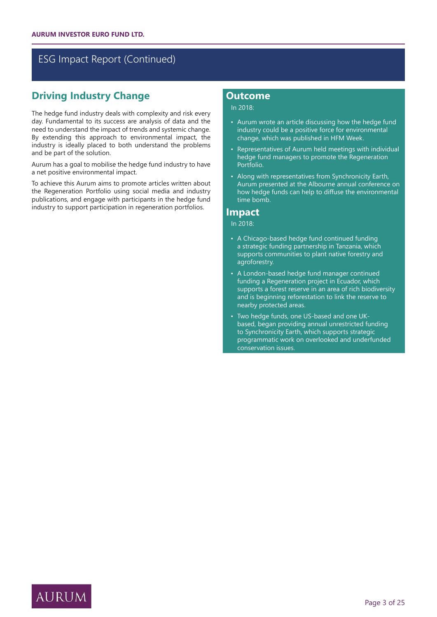# **Driving Industry Change <b>COUTCOME Outcome**

Ī

The hedge fund industry deals with complexity and risk every day. Fundamental to its success are analysis of data and the need to understand the impact of trends and systemic change. By extending this approach to environmental impact, the industry is ideally placed to both understand the problems and be part of the solution.

Aurum has a goal to mobilise the hedge fund industry to have a net positive environmental impact.

To achieve this Aurum aims to promote articles written about the Regeneration Portfolio using social media and industry publications, and engage with participants in the hedge fund industry to support participation in regeneration portfolios. **Impact**

## In 2018:

- Aurum wrote an article discussing how the hedge fund industry could be a positive force for environmental change, which was published in HFM Week.
- Representatives of Aurum held meetings with individual hedge fund managers to promote the Regeneration Portfolio.
- Along with representatives from Synchronicity Earth, Aurum presented at the Albourne annual conference on how hedge funds can help to diffuse the environmental time bomb.

## In 2018:

- A Chicago-based hedge fund continued funding a strategic funding partnership in Tanzania, which supports communities to plant native forestry and agroforestry.
- A London-based hedge fund manager continued funding a Regeneration project in Ecuador, which supports a forest reserve in an area of rich biodiversity and is beginning reforestation to link the reserve to nearby protected areas.
- Two hedge funds, one US-based and one UKbased, began providing annual unrestricted funding to Synchronicity Earth, which supports strategic programmatic work on overlooked and underfunded conservation issues.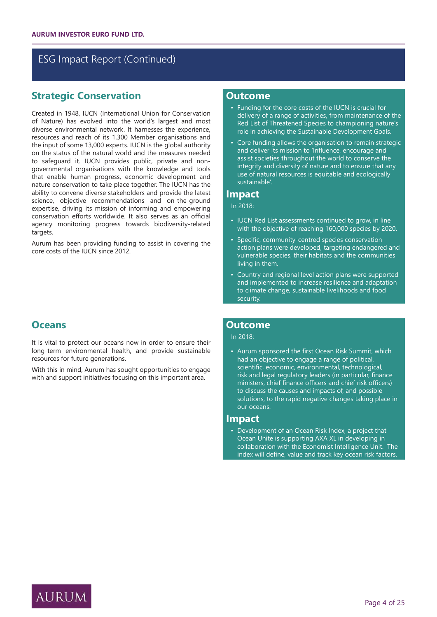# **Strategic Conservation Outcome**

Ī

Created in 1948, IUCN (International Union for Conservation of Nature) has evolved into the world's largest and most diverse environmental network. It harnesses the experience, resources and reach of its 1,300 Member organisations and the input of some 13,000 experts. IUCN is the global authority on the status of the natural world and the measures needed to safeguard it. IUCN provides public, private and nongovernmental organisations with the knowledge and tools that enable human progress, economic development and nature conservation to take place together. The IUCN has the ability to convene diverse stakeholders and provide the latest science, objective recommendations and on-the-ground expertise, driving its mission of informing and empowering conservation efforts worldwide. It also serves as an official agency monitoring progress towards biodiversity-related targets.

Aurum has been providing funding to assist in covering the core costs of the IUCN since 2012.

It is vital to protect our oceans now in order to ensure their long-term environmental health, and provide sustainable resources for future generations.

With this in mind, Aurum has sought opportunities to engage with and support initiatives focusing on this important area.

- Funding for the core costs of the IUCN is crucial for delivery of a range of activities, from maintenance of the Red List of Threatened Species to championing nature's role in achieving the Sustainable Development Goals.
- Core funding allows the organisation to remain strategic and deliver its mission to 'Influence, encourage and assist societies throughout the world to conserve the integrity and diversity of nature and to ensure that any use of natural resources is equitable and ecologically sustainable'.

# **Impact**

In 2018:

- IUCN Red List assessments continued to grow, in line with the objective of reaching 160,000 species by 2020.
- Specific, community-centred species conservation action plans were developed, targeting endangered and vulnerable species, their habitats and the communities living in them.
- Country and regional level action plans were supported and implemented to increase resilience and adaptation to climate change, sustainable livelihoods and food security.

## **Oceans Outcome**

### In 2018:

• Aurum sponsored the first Ocean Risk Summit, which had an objective to engage a range of political, scientific, economic, environmental, technological, risk and legal regulatory leaders (in particular, finance ministers, chief finance officers and chief risk officers) to discuss the causes and impacts of, and possible solutions, to the rapid negative changes taking place in our oceans.

## **Impact**

• Development of an Ocean Risk Index, a project that Ocean Unite is supporting AXA XL in developing in collaboration with the Economist Intelligence Unit. The index will define, value and track key ocean risk factors.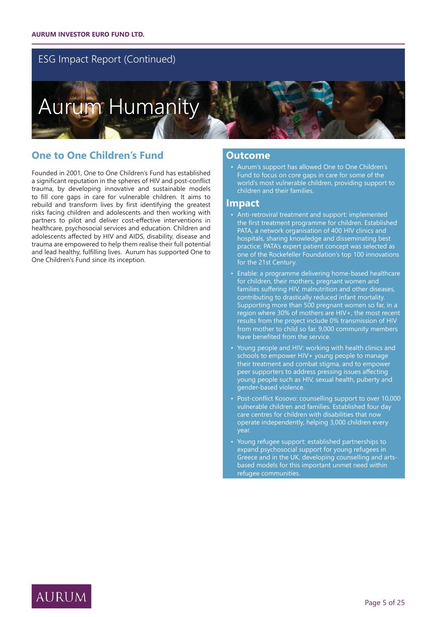# Aurum Humanity

# **One to One Children's Fund Outcome**

Founded in 2001, One to One Children's Fund has established a significant reputation in the spheres of HIV and post-conflict trauma, by developing innovative and sustainable models to fill core gaps in care for vulnerable children. It aims to rebuild and transform lives by first identifying the greatest risks facing children and adolescents and then working with partners to pilot and deliver cost-effective interventions in healthcare, psychosocial services and education. Children and adolescents affected by HIV and AIDS, disability, disease and trauma are empowered to help them realise their full potential and lead healthy, fulfilling lives. Aurum has supported One to One Children's Fund since its inception.

• Aurum's support has allowed One to One Children's Fund to focus on core gaps in care for some of the world's most vulnerable children, providing support to children and their families.

## **Impact**

- Anti-retroviral treatment and support: implemented the first treatment programme for children. Established PATA, a network organisation of 400 HIV clinics and hospitals, sharing knowledge and disseminating best practice; PATA's expert patient concept was selected as one of the Rockefeller Foundation's top 100 innovations for the 21st Century.
- Enable: a programme delivering home-based healthcare for children, their mothers, pregnant women and families suffering HIV, malnutrition and other diseases, contributing to drastically reduced infant mortality. Supporting more than 500 pregnant women so far, in a region where 30% of mothers are HIV+, the most recent results from the project include 0% transmission of HIV from mother to child so far. 9,000 community members have benefited from the service.
- Young people and HIV: working with health clinics and schools to empower HIV+ young people to manage their treatment and combat stigma, and to empower peer supporters to address pressing issues affecting young people such as HIV, sexual health, puberty and gender-based violence.
- Post-conflict Kosovo: counselling support to over 10,000 vulnerable children and families. Established four day care centres for children with disabilities that now operate independently, helping 3,000 children every year.
- Young refugee support: established partnerships to expand psychosocial support for young refugees in Greece and in the UK, developing counselling and artsbased models for this important unmet need within refugee communities.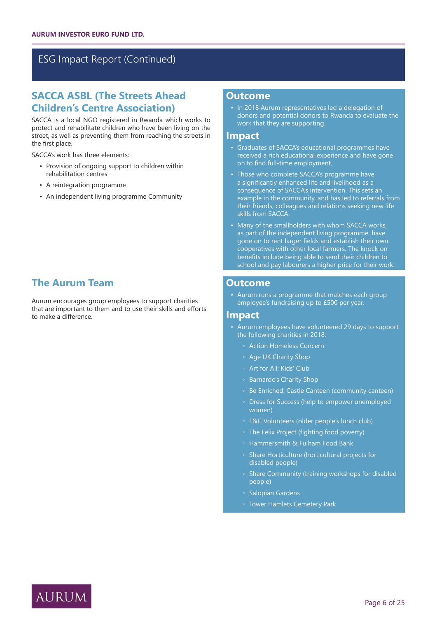# **SACCA ASBL (The Streets Ahead Children's Centre Association)**

SACCA is a local NGO registered in Rwanda which works to work that they are supporting. protect and rehabilitate children who have been living on the street, as well as preventing them from reaching the streets in the first place.

SACCA's work has three elements:

Ī

- Provision of ongoing support to children within rehabilitation centres
- A reintegration programme
- An independent living programme Community

# **The Aurum Team COUTCOMERGIST**

Aurum encourages group employees to support charities to the employee's fundraising up to £500 per year.<br>
to make a difference. to make a difference.

# **Outcome**

• In 2018 Aurum representatives led a delegation of donors and potential donors to Rwanda to evaluate the

## **Impact**

- Graduates of SACCA's educational programmes have received a rich educational experience and have gone on to find full-time employment.
- Those who complete SACCA's programme have a significantly enhanced life and livelihood as a consequence of SACCA's intervention. This sets an example in the community, and has led to referrals from their friends, colleagues and relations seeking new life skills from SACCA.
- Many of the smallholders with whom SACCA works, as part of the independent living programme, have gone on to rent larger fields and establish their own cooperatives with other local farmers. The knock-on benefits include being able to send their children to school and pay labourers a higher price for their work.

- Aurum employees have volunteered 29 days to support the following charities in 2018:
	- **Action Homeless Concern**
	- Age UK Charity Shop
	- ń Art for All: Kids' Club
	- Barnardo's Charity Shop
	- Be Enriched: Castle Canteen (community canteen)
	- Dress for Success (help to empower unemployed women)
	- ń F&C Volunteers (older people's lunch club)
	- The Felix Project (fighting food poverty)
	- ń Hammersmith & Fulham Food Bank
	- $\cdot$  Share Horticulture (horticultural projects for disabled people)
	- Share Community (training workshops for disabled people)
	- Salopian Gardens
	- **Tower Hamlets Cemetery Park**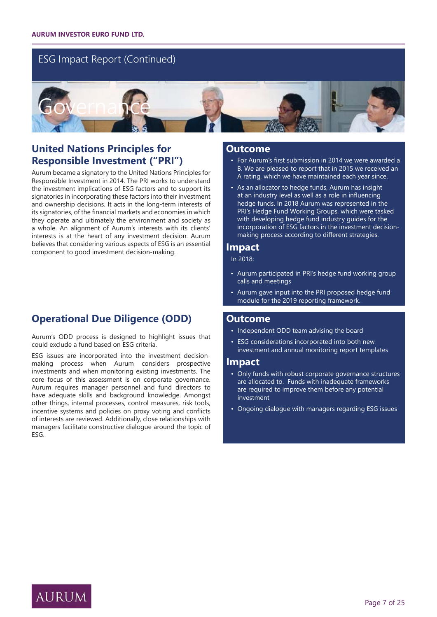

# **United Nations Principles for Responsible Investment ("PRI")**

Aurum became a signatory to the United Nations Principles for Responsible Investment in 2014. The PRI works to understand the investment implications of ESG factors and to support its signatories in incorporating these factors into their investment and ownership decisions. It acts in the long-term interests of its signatories, of the financial markets and economies in which they operate and ultimately the environment and society as a whole. An alignment of Aurum's interests with its clients' interests is at the heart of any investment decision. Aurum believes that considering various aspects of ESG is an essential component to good investment decision-making. **Impact**

# **Operational Due Diligence (ODD) Outcome**

Aurum's ODD process is designed to highlight issues that could exclude a fund based on ESG criteria.

ESG issues are incorporated into the investment decisionmaking process when Aurum considers prospective investments and when monitoring existing investments. The core focus of this assessment is on corporate governance. Aurum requires manager personnel and fund directors to have adequate skills and background knowledge. Amongst other things, internal processes, control measures, risk tools, incentive systems and policies on proxy voting and conflicts of interests are reviewed. Additionally, close relationships with managers facilitate constructive dialogue around the topic of ESG.

# **Outcome**

- For Aurum's first submission in 2014 we were awarded a B. We are pleased to report that in 2015 we received an A rating, which we have maintained each year since.
- As an allocator to hedge funds, Aurum has insight at an industry level as well as a role in influencing hedge funds. In 2018 Aurum was represented in the PRI's Hedge Fund Working Groups, which were tasked with developing hedge fund industry guides for the incorporation of ESG factors in the investment decisionmaking process according to different strategies.

#### In 2018:

- Aurum participated in PRI's hedge fund working group calls and meetings
- Aurum gave input into the PRI proposed hedge fund module for the 2019 reporting framework.

- Independent ODD team advising the board
- ESG considerations incorporated into both new investment and annual monitoring report templates

## **Impact**

- Only funds with robust corporate governance structures are allocated to. Funds with inadequate frameworks are required to improve them before any potential investment
- Ongoing dialogue with managers regarding ESG issues

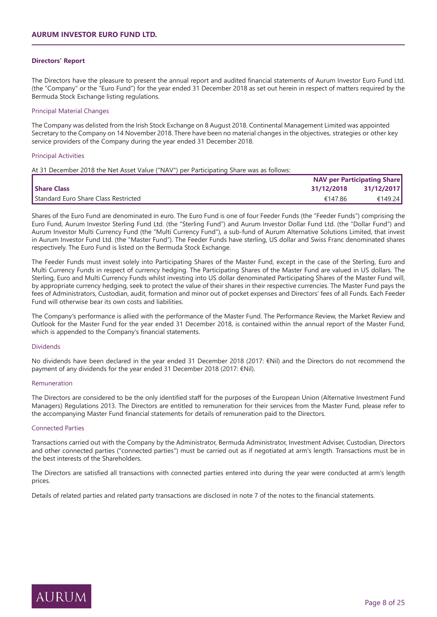#### **Directors' Report**

The Directors have the pleasure to present the annual report and audited financial statements of Aurum Investor Euro Fund Ltd. (the "Company" or the "Euro Fund") for the year ended 31 December 2018 as set out herein in respect of matters required by the Bermuda Stock Exchange listing regulations.

#### Principal Material Changes

The Company was delisted from the Irish Stock Exchange on 8 August 2018. Continental Management Limited was appointed Secretary to the Company on 14 November 2018. There have been no material changes in the objectives, strategies or other key service providers of the Company during the year ended 31 December 2018.

#### Principal Activities

At 31 December 2018 the Net Asset Value ("NAV") per Participating Share was as follows:

|                                      | <b>NAV per Participating Share</b> |            |
|--------------------------------------|------------------------------------|------------|
| <b>Share Class</b>                   | 31/12/2018                         | 31/12/2017 |
| Standard Euro Share Class Restricted | €147.86                            | €149.24    |

Shares of the Euro Fund are denominated in euro. The Euro Fund is one of four Feeder Funds (the "Feeder Funds") comprising the Euro Fund, Aurum Investor Sterling Fund Ltd. (the "Sterling Fund") and Aurum Investor Dollar Fund Ltd. (the "Dollar Fund") and Aurum Investor Multi Currency Fund (the "Multi Currency Fund"), a sub-fund of Aurum Alternative Solutions Limited, that invest in Aurum Investor Fund Ltd. (the "Master Fund"). The Feeder Funds have sterling, US dollar and Swiss Franc denominated shares respectively. The Euro Fund is listed on the Bermuda Stock Exchange.

The Feeder Funds must invest solely into Participating Shares of the Master Fund, except in the case of the Sterling, Euro and Multi Currency Funds in respect of currency hedging. The Participating Shares of the Master Fund are valued in US dollars. The Sterling, Euro and Multi Currency Funds whilst investing into US dollar denominated Participating Shares of the Master Fund will, by appropriate currency hedging, seek to protect the value of their shares in their respective currencies. The Master Fund pays the fees of Administrators, Custodian, audit, formation and minor out of pocket expenses and Directors' fees of all Funds. Each Feeder Fund will otherwise bear its own costs and liabilities.

The Company's performance is allied with the performance of the Master Fund. The Performance Review, the Market Review and Outlook for the Master Fund for the year ended 31 December 2018, is contained within the annual report of the Master Fund, which is appended to the Company's financial statements.

#### **Dividends**

No dividends have been declared in the year ended 31 December 2018 (2017: €Nil) and the Directors do not recommend the payment of any dividends for the year ended 31 December 2018 (2017: €Nil).

#### Remuneration

The Directors are considered to be the only identified staff for the purposes of the European Union (Alternative Investment Fund Managers) Regulations 2013. The Directors are entitled to remuneration for their services from the Master Fund, please refer to the accompanying Master Fund financial statements for details of remuneration paid to the Directors.

#### Connected Parties

Transactions carried out with the Company by the Administrator, Bermuda Administrator, Investment Adviser, Custodian, Directors and other connected parties ("connected parties") must be carried out as if negotiated at arm's length. Transactions must be in the best interests of the Shareholders.

The Directors are satisfied all transactions with connected parties entered into during the year were conducted at arm's length prices.

Details of related parties and related party transactions are disclosed in note 7 of the notes to the financial statements.

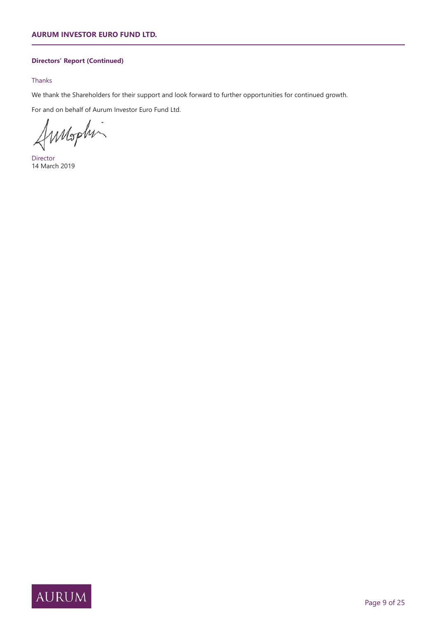# **Directors' Report (Continued)**

### Thanks

We thank the Shareholders for their support and look forward to further opportunities for continued growth.

For and on behalf of Aurum Investor Euro Fund Ltd.

fungohi

Director 14 March 2019

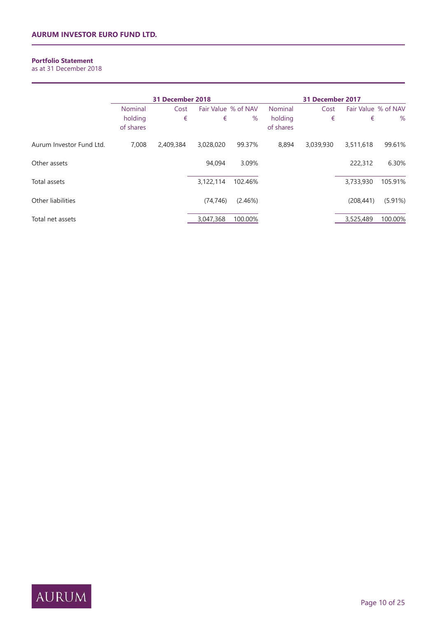# **Portfolio Statement**

as at 31 December 2018

|                          | 31 December 2018     |           |                     |         | 31 December 2017     |           |                     |            |
|--------------------------|----------------------|-----------|---------------------|---------|----------------------|-----------|---------------------|------------|
|                          | <b>Nominal</b>       | Cost      | Fair Value % of NAV |         | <b>Nominal</b>       | Cost      | Fair Value % of NAV |            |
|                          | holding<br>of shares | €         | €                   | %       | holding<br>of shares | €         | €                   | %          |
| Aurum Investor Fund Ltd. | 7,008                | 2,409,384 | 3,028,020           | 99.37%  | 8,894                | 3,039,930 | 3,511,618           | 99.61%     |
| Other assets             |                      |           | 94,094              | 3.09%   |                      |           | 222,312             | 6.30%      |
| Total assets             |                      |           | 3,122,114           | 102.46% |                      |           | 3,733,930           | 105.91%    |
| Other liabilities        |                      |           | (74, 746)           | (2.46%) |                      |           | (208, 441)          | $(5.91\%)$ |
| Total net assets         |                      |           | 3,047,368           | 100.00% |                      |           | 3,525,489           | 100.00%    |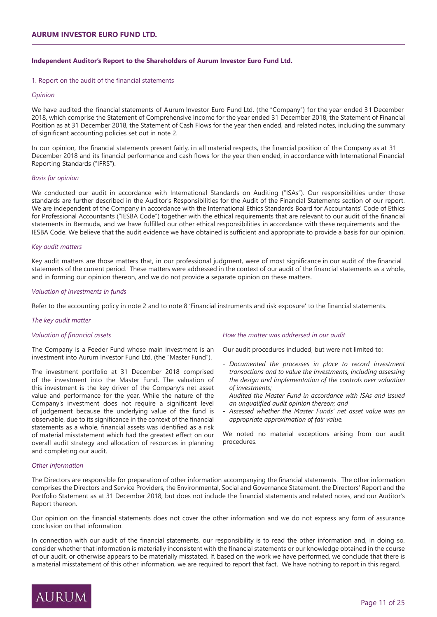#### **Independent Auditor's Report to the Shareholders of Aurum Investor Euro Fund Ltd.**

#### 1. Report on the audit of the financial statements

#### *Opinion*

We have audited the financial statements of Aurum Investor Euro Fund Ltd. (the "Company") for the year ended 31 December 2018, which comprise the Statement of Comprehensive Income for the year ended 31 December 2018, the Statement of Financial Position as at 31 December 2018, the Statement of Cash Flows for the year then ended, and related notes, including the summary of significant accounting policies set out in note 2.

In our opinion, the financial statements present fairly, in all material respects, the financial position of the Company as at 31 December 2018 and its financial performance and cash flows for the year then ended, in accordance with International Financial Reporting Standards ("IFRS").

#### *Basis for opinion*

We conducted our audit in accordance with International Standards on Auditing ("ISAs"). Our responsibilities under those standards are further described in the Auditor's Responsibilities for the Audit of the Financial Statements section of our report. We are independent of the Company in accordance with the International Ethics Standards Board for Accountants' Code of Ethics for Professional Accountants ("IESBA Code") together with the ethical requirements that are relevant to our audit of the financial statements in Bermuda, and we have fulfilled our other ethical responsibilities in accordance with these requirements and the IESBA Code. We believe that the audit evidence we have obtained is sufficient and appropriate to provide a basis for our opinion.

#### *Key audit matters*

Key audit matters are those matters that, in our professional judgment, were of most significance in our audit of the financial statements of the current period. These matters were addressed in the context of our audit of the financial statements as a whole, and in forming our opinion thereon, and we do not provide a separate opinion on these matters.

#### *Valuation of investments in funds*

Refer to the accounting policy in note 2 and to note 8 'Financial instruments and risk exposure' to the financial statements.

#### *The key audit matter*

#### *Valuation of financial assets*

The Company is a Feeder Fund whose main investment is an investment into Aurum Investor Fund Ltd. (the "Master Fund").

The investment portfolio at 31 December 2018 comprised of the investment into the Master Fund. The valuation of this investment is the key driver of the Company's net asset value and performance for the year. While the nature of the Company's investment does not require a significant level of judgement because the underlying value of the fund is observable, due to its significance in the context of the financial statements as a whole, financial assets was identified as a risk of material misstatement which had the greatest effect on our overall audit strategy and allocation of resources in planning and completing our audit.

#### *How the matter was addressed in our audit*

Our audit procedures included, but were not limited to:

- *- 'oFumented the proFesses in plaFe to reFord investment transaFtions and to value the investments, inFluding assessing the design and implementation of the controls over valuation of investments;*
- *Audited the 0aster )und in aFFordanFe with ISAs and issued an unTualiÀed audit opinion thereon; and*
- *Assessed whether the Master Funds' net asset value was an appropriate approximation of fair value.*

We noted no material exceptions arising from our audit procedures.

#### *Other information*

The Directors are responsible for preparation of other information accompanying the financial statements. The other information comprises the Directors and Service Providers, the Environmental, Social and Governance Statement, the Directors' Report and the Portfolio Statement as at 31 December 2018, but does not include the financial statements and related notes, and our Auditor's Report thereon.

Our opinion on the financial statements does not cover the other information and we do not express any form of assurance conclusion on that information.

In connection with our audit of the financial statements, our responsibility is to read the other information and, in doing so, consider whether that information is materially inconsistent with the financial statements or our knowledge obtained in the course of our audit, or otherwise appears to be materially misstated. If, based on the work we have performed, we conclude that there is a material misstatement of this other information, we are required to report that fact. We have nothing to report in this regard.

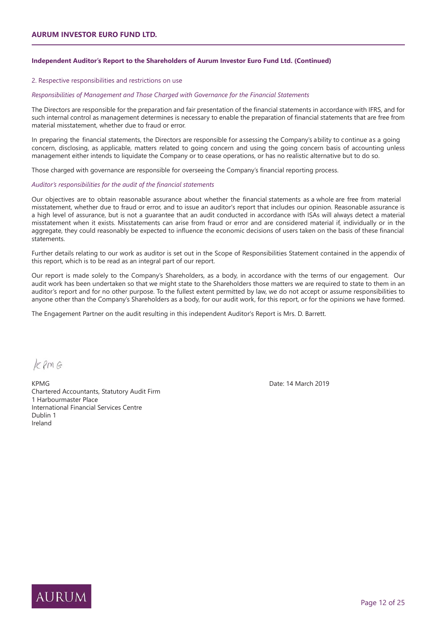#### **Independent Auditor's Report to the Shareholders of Aurum Investor Euro Fund Ltd. (Continued)**

2. Respective responsibilities and restrictions on use

#### *Responsibilities of Management and Those Charged with \*overnanFe for the FinanFial Statements*

The Directors are responsible for the preparation and fair presentation of the financial statements in accordance with IFRS, and for such internal control as management determines is necessary to enable the preparation of financial statements that are free from material misstatement, whether due to fraud or error.

In preparing the financial statements, the Directors are responsible for assessing the Company's ability to continue as a going concern, disclosing, as applicable, matters related to going concern and using the going concern basis of accounting unless management either intends to liquidate the Company or to cease operations, or has no realistic alternative but to do so.

Those charged with governance are responsible for overseeing the Company's financial reporting process.

#### *Auditor's responsibilities for the audit of the financial statements*

Our objectives are to obtain reasonable assurance about whether the financial statements as a whole are free from material misstatement, whether due to fraud or error, and to issue an auditor's report that includes our opinion. Reasonable assurance is a high level of assurance, but is not a guarantee that an audit conducted in accordance with ISAs will always detect a material misstatement when it exists. Misstatements can arise from fraud or error and are considered material if, individually or in the aggregate, they could reasonably be expected to influence the economic decisions of users taken on the basis of these financial statements.

Further details relating to our work as auditor is set out in the Scope of Responsibilities Statement contained in the appendix of this report, which is to be read as an integral part of our report.

Our report is made solely to the Company's Shareholders, as a body, in accordance with the terms of our engagement. Our audit work has been undertaken so that we might state to the Shareholders those matters we are required to state to them in an auditor's report and for no other purpose. To the fullest extent permitted by law, we do not accept or assume responsibilities to anyone other than the Company's Shareholders as a body, for our audit work, for this report, or for the opinions we have formed.

The Engagement Partner on the audit resulting in this independent Auditor's Report is Mrs. D. Barrett.

 $k$  PM  $6$ 

KPMG **Date: 14 March 2019** Chartered Accountants, Statutory Audit Firm 1 Harbourmaster Place International Financial Services Centre Dublin 1 Ireland

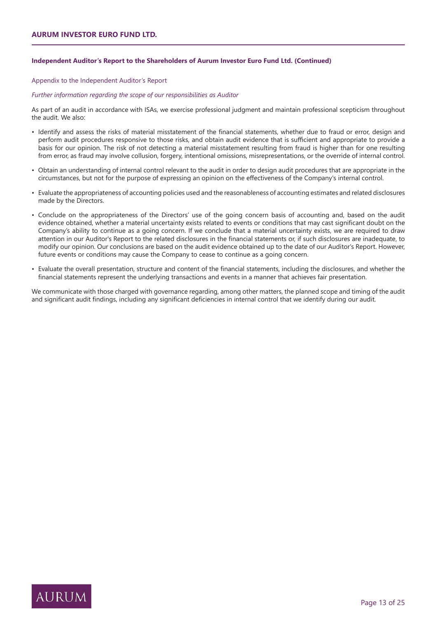#### **Independent Auditor's Report to the Shareholders of Aurum Investor Euro Fund Ltd. (Continued)**

#### Appendix to the Independent Auditor's Report

#### *Further information regarding the sFope of our responsibilities as Auditor*

As part of an audit in accordance with ISAs, we exercise professional judgment and maintain professional scepticism throughout the audit. We also:

- Identify and assess the risks of material misstatement of the financial statements, whether due to fraud or error, design and perform audit procedures responsive to those risks, and obtain audit evidence that is sufficient and appropriate to provide a basis for our opinion. The risk of not detecting a material misstatement resulting from fraud is higher than for one resulting from error, as fraud may involve collusion, forgery, intentional omissions, misrepresentations, or the override of internal control.
- Obtain an understanding of internal control relevant to the audit in order to design audit procedures that are appropriate in the circumstances, but not for the purpose of expressing an opinion on the effectiveness of the Company's internal control.
- Evaluate the appropriateness of accounting policies used and the reasonableness of accounting estimates and related disclosures made by the Directors.
- Conclude on the appropriateness of the Directors' use of the going concern basis of accounting and, based on the audit evidence obtained, whether a material uncertainty exists related to events or conditions that may cast significant doubt on the Company's ability to continue as a going concern. If we conclude that a material uncertainty exists, we are required to draw attention in our Auditor's Report to the related disclosures in the financial statements or, if such disclosures are inadequate, to modify our opinion. Our conclusions are based on the audit evidence obtained up to the date of our Auditor's Report. However, future events or conditions may cause the Company to cease to continue as a going concern.
- Evaluate the overall presentation, structure and content of the financial statements, including the disclosures, and whether the financial statements represent the underlying transactions and events in a manner that achieves fair presentation.

We communicate with those charged with governance regarding, among other matters, the planned scope and timing of the audit and significant audit findings, including any significant deficiencies in internal control that we identify during our audit.

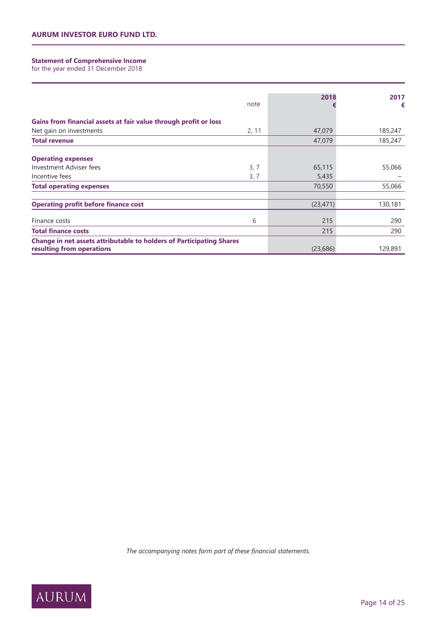## **Statement of Comprehensive Income**

for the year ended 31 December 2018

|                                                                                                          | note  | 2018      | 2017<br>€ |
|----------------------------------------------------------------------------------------------------------|-------|-----------|-----------|
| Gains from financial assets at fair value through profit or loss                                         |       |           |           |
| Net gain on investments                                                                                  | 2, 11 | 47,079    | 185,247   |
| <b>Total revenue</b>                                                                                     |       | 47,079    | 185,247   |
| <b>Operating expenses</b>                                                                                |       |           |           |
| Investment Adviser fees                                                                                  | 3, 7  | 65,115    | 55,066    |
| Incentive fees                                                                                           | 3, 7  | 5,435     |           |
| <b>Total operating expenses</b>                                                                          |       | 70,550    | 55,066    |
| <b>Operating profit before finance cost</b>                                                              |       | (23, 471) | 130,181   |
| Finance costs                                                                                            | 6     | 215       | 290       |
| <b>Total finance costs</b>                                                                               |       | 215       | 290       |
| <b>Change in net assets attributable to holders of Participating Shares</b><br>resulting from operations |       | (23, 686) | 129,891   |

*The accompanying notes form part of these financial statements.* 

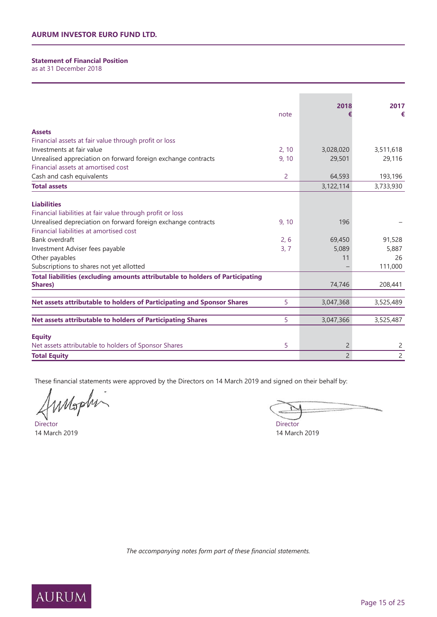## **Statement of Financial Position**

as at 31 December 2018

|                                                                               |       | 2018           | 2017           |
|-------------------------------------------------------------------------------|-------|----------------|----------------|
|                                                                               | note  |                | €              |
| <b>Assets</b>                                                                 |       |                |                |
| Financial assets at fair value through profit or loss                         |       |                |                |
| Investments at fair value                                                     | 2.10  | 3,028,020      | 3,511,618      |
| Unrealised appreciation on forward foreign exchange contracts                 | 9, 10 | 29,501         | 29,116         |
| Financial assets at amortised cost                                            |       |                |                |
| Cash and cash equivalents                                                     | 2     | 64,593         | 193,196        |
| <b>Total assets</b>                                                           |       | 3,122,114      | 3,733,930      |
|                                                                               |       |                |                |
| <b>Liabilities</b>                                                            |       |                |                |
| Financial liabilities at fair value through profit or loss                    |       |                |                |
| Unrealised depreciation on forward foreign exchange contracts                 | 9, 10 | 196            |                |
| Financial liabilities at amortised cost                                       |       |                |                |
| Bank overdraft                                                                | 2, 6  | 69,450         | 91,528         |
| Investment Adviser fees payable                                               | 3, 7  | 5,089          | 5,887          |
| Other payables                                                                |       | 11             | 26             |
| Subscriptions to shares not yet allotted                                      |       |                | 111,000        |
| Total liabilities (excluding amounts attributable to holders of Participating |       |                |                |
| <b>Shares</b> )                                                               |       | 74,746         | 208,441        |
|                                                                               | 5     |                |                |
| Net assets attributable to holders of Participating and Sponsor Shares        |       | 3,047,368      | 3,525,489      |
| Net assets attributable to holders of Participating Shares                    | 5     | 3,047,366      | 3,525,487      |
| <b>Equity</b>                                                                 |       |                |                |
| Net assets attributable to holders of Sponsor Shares                          | 5     | $\overline{2}$ | 2              |
| <b>Total Equity</b>                                                           |       | $\overline{2}$ | $\overline{2}$ |

These financial statements were approved by the Directors on 14 March 2019 and signed on their behalf by:

Mophi

Director Director 14 March 2019 14 March 2019

*The accompanying notes form part of these financial statements.* 

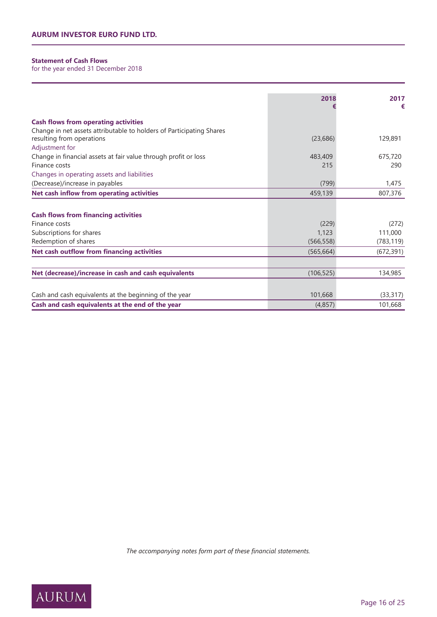# **Statement of Cash Flows**

for the year ended 31 December 2018

|                                                                                                   | 2018       | 2017<br>€  |
|---------------------------------------------------------------------------------------------------|------------|------------|
| <b>Cash flows from operating activities</b>                                                       |            |            |
| Change in net assets attributable to holders of Participating Shares<br>resulting from operations | (23, 686)  | 129,891    |
| Adjustment for                                                                                    |            |            |
| Change in financial assets at fair value through profit or loss                                   | 483,409    | 675,720    |
| Finance costs                                                                                     | 215        | 290        |
| Changes in operating assets and liabilities                                                       |            |            |
| (Decrease)/increase in payables                                                                   | (799)      | 1,475      |
| Net cash inflow from operating activities                                                         | 459,139    | 807,376    |
| <b>Cash flows from financing activities</b>                                                       |            |            |
| Finance costs                                                                                     | (229)      | (272)      |
| Subscriptions for shares                                                                          | 1,123      | 111,000    |
| Redemption of shares                                                                              | (566, 558) | (783, 119) |
| <b>Net cash outflow from financing activities</b>                                                 | (565, 664) | (672, 391) |
|                                                                                                   |            |            |
| Net (decrease)/increase in cash and cash equivalents                                              | (106, 525) | 134,985    |
| Cash and cash equivalents at the beginning of the year                                            | 101,668    | (33, 317)  |
| Cash and cash equivalents at the end of the year                                                  | (4,857)    | 101,668    |

*The accompanying notes form part of these financial statements.* 

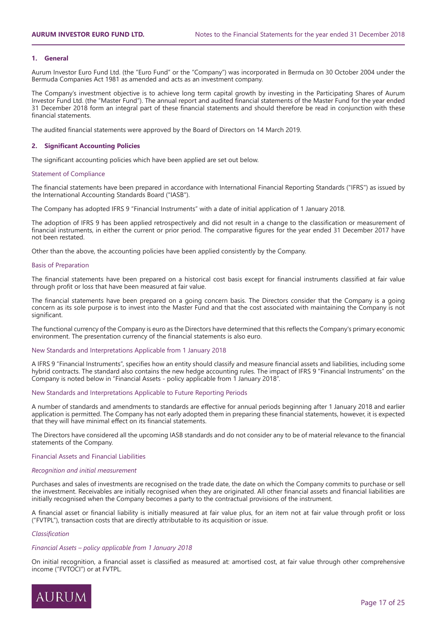#### **1. General**

Aurum Investor Euro Fund Ltd. (the "Euro Fund" or the "Company") was incorporated in Bermuda on 30 October 2004 under the Bermuda Companies Act 1981 as amended and acts as an investment company.

The Company's investment objective is to achieve long term capital growth by investing in the Participating Shares of Aurum Investor Fund Ltd. (the "Master Fund"). The annual report and audited financial statements of the Master Fund for the year ended 31 December 2018 form an integral part of these financial statements and should therefore be read in conjunction with these financial statements.

The audited financial statements were approved by the Board of Directors on 14 March 2019.

#### **2. Significant Accounting Policies**

The significant accounting policies which have been applied are set out below.

#### Statement of Compliance

The financial statements have been prepared in accordance with International Financial Reporting Standards ("IFRS") as issued by the International Accounting Standards Board ("IASB").

The Company has adopted IFRS 9 "Financial Instruments" with a date of initial application of 1 January 2018.

The adoption of IFRS 9 has been applied retrospectively and did not result in a change to the classification or measurement of financial instruments, in either the current or prior period. The comparative figures for the year ended 31 December 2017 have not been restated.

Other than the above, the accounting policies have been applied consistently by the Company.

#### Basis of Preparation

The financial statements have been prepared on a historical cost basis except for financial instruments classified at fair value through profit or loss that have been measured at fair value.

The financial statements have been prepared on a going concern basis. The Directors consider that the Company is a going concern as its sole purpose is to invest into the Master Fund and that the cost associated with maintaining the Company is not significant.

The functional currency of the Company is euro as the Directors have determined that this reflects the Company's primary economic environment. The presentation currency of the financial statements is also euro.

#### New Standards and Interpretations Applicable from 1 January 2018

A IFRS 9 "Financial Instruments", specifies how an entity should classify and measure financial assets and liabilities, including some hybrid contracts. The standard also contains the new hedge accounting rules. The impact of IFRS 9 "Financial Instruments" on the Company is noted below in "Financial Assets - policy applicable from 1 January 2018".

#### New Standards and Interpretations Applicable to Future Reporting Periods

A number of standards and amendments to standards are effective for annual periods beginning after 1 January 2018 and earlier application is permitted. The Company has not early adopted them in preparing these financial statements, however, it is expected that they will have minimal effect on its financial statements.

The Directors have considered all the upcoming IASB standards and do not consider any to be of material relevance to the financial statements of the Company.

#### Financial Assets and Financial Liabilities

#### *ReFognition and initial measurement*

Purchases and sales of investments are recognised on the trade date, the date on which the Company commits to purchase or sell the investment. Receivables are initially recognised when they are originated. All other financial assets and financial liabilities are initially recognised when the Company becomes a party to the contractual provisions of the instrument.

A financial asset or financial liability is initially measured at fair value plus, for an item not at fair value through profit or loss ("FVTPL"), transaction costs that are directly attributable to its acquisition or issue.

#### *ClassiÀFation*

#### *Financial Assets - policy applicable from 1 January 2018*

On initial recognition, a financial asset is classified as measured at: amortised cost, at fair value through other comprehensive income ("FVTOCI") or at FVTPL.

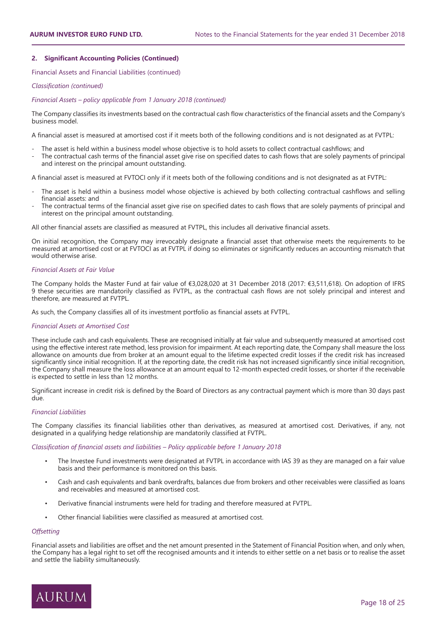#### **2. Significant Accounting Policies (Continued)**

Financial Assets and Financial Liabilities (continued)

#### $C$ *lassification* (*continued*)

*Financial Assets – policy applicable from 1 January 2018 (continued)* 

The Company classifies its investments based on the contractual cash flow characteristics of the financial assets and the Company's business model.

A Ànancial asset is measured at amortised cost if it meets both of the following conditions and is not designated as at FVTPL:

- The asset is held within a business model whose objective is to hold assets to collect contractual cashflows; and
- The contractual cash terms of the financial asset give rise on specified dates to cash flows that are solely payments of principal and interest on the principal amount outstanding.

A financial asset is measured at FVTOCI only if it meets both of the following conditions and is not designated as at FVTPL:

- The asset is held within a business model whose objective is achieved by both collecting contractual cashflows and selling financial assets: and
- The contractual terms of the financial asset give rise on specified dates to cash flows that are solely payments of principal and interest on the principal amount outstanding.

All other financial assets are classified as measured at FVTPL, this includes all derivative financial assets.

On initial recognition, the Company may irrevocably designate a financial asset that otherwise meets the requirements to be measured at amortised cost or at FVTOCI as at FVTPL if doing so eliminates or significantly reduces an accounting mismatch that would otherwise arise.

#### *FinanFial Assets at Fair Value*

The Company holds the Master Fund at fair value of €3,028,020 at 31 December 2018 (2017: €3,511,618). On adoption of IFRS 9 these securities are mandatorily classified as FVTPL, as the contractual cash flows are not solely principal and interest and therefore, are measured at FVTPL.

As such, the Company classifies all of its investment portfolio as financial assets at FVTPL.

#### *FinanFial Assets at Amortised Cost*

These include cash and cash equivalents. These are recognised initially at fair value and subsequently measured at amortised cost using the effective interest rate method, less provision for impairment. At each reporting date, the Company shall measure the loss allowance on amounts due from broker at an amount equal to the lifetime expected credit losses if the credit risk has increased significantly since initial recognition. If, at the reporting date, the credit risk has not increased significantly since initial recognition, the Company shall measure the loss allowance at an amount equal to 12-month expected credit losses, or shorter if the receivable is expected to settle in less than 12 months.

Significant increase in credit risk is defined by the Board of Directors as any contractual payment which is more than 30 days past due.

#### *FinanFial Liabilities*

The Company classifies its financial liabilities other than derivatives, as measured at amortised cost. Derivatives, if any, not designated in a qualifying hedge relationship are mandatorily classified at FVTPL.

*Classification of financial assets and liabilities - Policy applicable before 1 January 2018* 

- The Investee Fund investments were designated at FVTPL in accordance with IAS 39 as they are managed on a fair value basis and their performance is monitored on this basis.
- Cash and cash equivalents and bank overdrafts, balances due from brokers and other receivables were classified as loans and receivables and measured at amortised cost.
- Derivative financial instruments were held for trading and therefore measured at FVTPL.
- Other financial liabilities were classified as measured at amortised cost.

## *O૽setting*

Financial assets and liabilities are offset and the net amount presented in the Statement of Financial Position when, and only when, the Company has a legal right to set off the recognised amounts and it intends to either settle on a net basis or to realise the asset and settle the liability simultaneously.

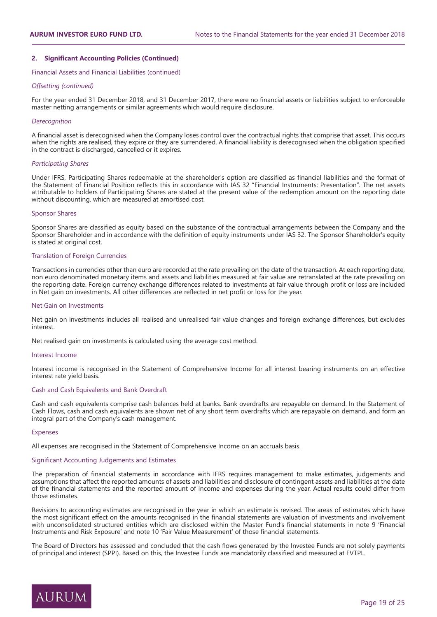#### **2. Significant Accounting Policies (Continued)**

Financial Assets and Financial Liabilities (continued)

#### $Off$ *setting (continued)*

For the year ended 31 December 2018, and 31 December 2017, there were no financial assets or liabilities subject to enforceable master netting arrangements or similar agreements which would require disclosure.

#### *'ereFognition*

A Ànancial asset is derecognised when the Company loses control over the contractual rights that comprise that asset. This occurs when the rights are realised, they expire or they are surrendered. A financial liability is derecognised when the obligation specified in the contract is discharged, cancelled or it expires.

#### *PartiFipating Shares*

Under IFRS, Participating Shares redeemable at the shareholder's option are classified as financial liabilities and the format of the Statement of Financial Position reflects this in accordance with IAS 32 "Financial Instruments: Presentation". The net assets attributable to holders of Participating Shares are stated at the present value of the redemption amount on the reporting date without discounting, which are measured at amortised cost.

#### Sponsor Shares

Sponsor Shares are classified as equity based on the substance of the contractual arrangements between the Company and the Sponsor Shareholder and in accordance with the definition of equity instruments under IAS 32. The Sponsor Shareholder's equity is stated at original cost.

#### Translation of Foreign Currencies

Transactions in currencies other than euro are recorded at the rate prevailing on the date of the transaction. At each reporting date, non euro denominated monetary items and assets and liabilities measured at fair value are retranslated at the rate prevailing on the reporting date. Foreign currency exchange differences related to investments at fair value through profit or loss are included in Net gain on investments. All other differences are reflected in net profit or loss for the year.

#### Net Gain on Investments

Net gain on investments includes all realised and unrealised fair value changes and foreign exchange differences, but excludes interest.

Net realised gain on investments is calculated using the average cost method.

#### Interest Income

Interest income is recognised in the Statement of Comprehensive Income for all interest bearing instruments on an effective interest rate yield basis.

#### Cash and Cash Equivalents and Bank Overdraft

Cash and cash equivalents comprise cash balances held at banks. Bank overdrafts are repayable on demand. In the Statement of Cash Flows, cash and cash equivalents are shown net of any short term overdrafts which are repayable on demand, and form an integral part of the Company's cash management.

#### Expenses

All expenses are recognised in the Statement of Comprehensive Income on an accruals basis.

#### Significant Accounting Judgements and Estimates

The preparation of financial statements in accordance with IFRS requires management to make estimates, judgements and assumptions that affect the reported amounts of assets and liabilities and disclosure of contingent assets and liabilities at the date of the financial statements and the reported amount of income and expenses during the year. Actual results could differ from those estimates.

Revisions to accounting estimates are recognised in the year in which an estimate is revised. The areas of estimates which have the most significant effect on the amounts recognised in the financial statements are valuation of investments and involvement with unconsolidated structured entities which are disclosed within the Master Fund's financial statements in note 9 'Financial Instruments and Risk Exposure' and note 10 'Fair Value Measurement' of those financial statements.

The Board of Directors has assessed and concluded that the cash flows generated by the Investee Funds are not solely payments of principal and interest (SPPI). Based on this, the Investee Funds are mandatorily classified and measured at FVTPL.

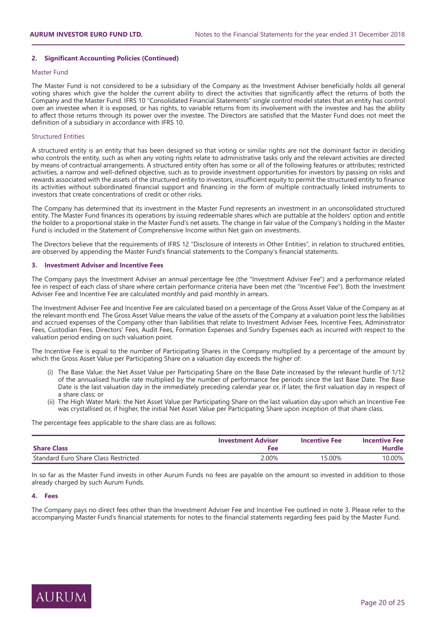#### **2. Significant Accounting Policies (Continued)**

#### Master Fund

The Master Fund is not considered to be a subsidiary of the Company as the Investment Adviser beneficially holds all general voting shares which give the holder the current ability to direct the activities that significantly affect the returns of both the Company and the Master Fund. IFRS 10 "Consolidated Financial Statements" single control model states that an entity has control over an investee when it is exposed, or has rights, to variable returns from its involvement with the investee and has the ability to affect those returns through its power over the investee. The Directors are satisfied that the Master Fund does not meet the definition of a subsidiary in accordance with IFRS 10.

#### Structured Entities

A structured entity is an entity that has been designed so that voting or similar rights are not the dominant factor in deciding who controls the entity, such as when any voting rights relate to administrative tasks only and the relevant activities are directed by means of contractual arrangements. A structured entity often has some or all of the following features or attributes; restricted activities, a narrow and well-defined objective, such as to provide investment opportunities for investors by passing on risks and rewards associated with the assets of the structured entity to investors, insufficient equity to permit the structured entity to finance its activities without subordinated financial support and financing in the form of multiple contractually linked instruments to investors that create concentrations of credit or other risks.

The Company has determined that its investment in the Master Fund represents an investment in an unconsolidated structured entity. The Master Fund finances its operations by issuing redeemable shares which are puttable at the holders' option and entitle the holder to a proportional stake in the Master Fund's net assets. The change in fair value of the Company's holding in the Master Fund is included in the Statement of Comprehensive Income within Net gain on investments.

The Directors believe that the requirements of IFRS 12 "Disclosure of Interests in Other Entities", in relation to structured entities, are observed by appending the Master Fund's financial statements to the Company's financial statements.

#### **3. Investment Adviser and Incentive Fees**

The Company pays the Investment Adviser an annual percentage fee (the "Investment Adviser Fee") and a performance related fee in respect of each class of share where certain performance criteria have been met (the "Incentive Fee"). Both the Investment Adviser Fee and Incentive Fee are calculated monthly and paid monthly in arrears.

The Investment Adviser Fee and Incentive Fee are calculated based on a percentage of the Gross Asset Value of the Company as at the relevant month end. The Gross Asset Value means the value of the assets of the Company at a valuation point less the liabilities and accrued expenses of the Company other than liabilities that relate to Investment Adviser Fees, Incentive Fees, Administrator Fees, Custodian Fees, Directors' Fees, Audit Fees, Formation Expenses and Sundry Expenses each as incurred with respect to the valuation period ending on such valuation point.

The Incentive Fee is equal to the number of Participating Shares in the Company multiplied by a percentage of the amount by which the Gross Asset Value per Participating Share on a valuation day exceeds the higher of:

- (i) The Base Value: the Net Asset Value per Participating Share on the Base Date increased by the relevant hurdle of 1/12 of the annualised hurdle rate multiplied by the number of performance fee periods since the last Base Date. The Base Date is the last valuation day in the immediately preceding calendar year or, if later, the first valuation day in respect of a share class; or
- (ii) The High Water Mark: the Net Asset Value per Participating Share on the last valuation day upon which an Incentive Fee was crystallised or, if higher, the initial Net Asset Value per Participating Share upon inception of that share class.

The percentage fees applicable to the share class are as follows:

| <b>Share Class</b>                   | <b>Investment Adviser</b><br>Fee | <b>Incentive Fee</b> | <b>Incentive Fee</b><br><b>Hurdle</b> |
|--------------------------------------|----------------------------------|----------------------|---------------------------------------|
| Standard Euro Share Class Restricted | 2.00%                            | 15.00%               | 10.00%                                |

In so far as the Master Fund invests in other Aurum Funds no fees are payable on the amount so invested in addition to those already charged by such Aurum Funds.

#### **4. Fees**

The Company pays no direct fees other than the Investment Adviser Fee and Incentive Fee outlined in note 3. Please refer to the accompanying Master Fund's financial statements for notes to the financial statements regarding fees paid by the Master Fund.

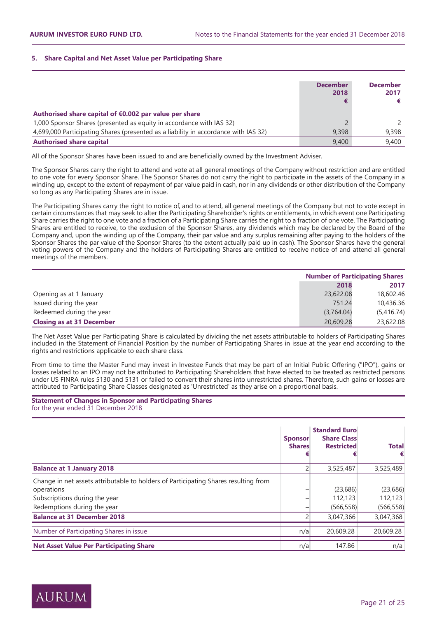#### **5. Share Capital and Net Asset Value per Participating Share**

|                                                                                     | <b>December</b><br>2018 | <b>December</b><br>2017 |
|-------------------------------------------------------------------------------------|-------------------------|-------------------------|
| Authorised share capital of €0.002 par value per share                              |                         |                         |
| 1,000 Sponsor Shares (presented as equity in accordance with IAS 32)                |                         |                         |
| 4,699,000 Participating Shares (presented as a liability in accordance with IAS 32) | 9,398                   | 9,398                   |
| <b>Authorised share capital</b>                                                     | 9,400                   | 9,400                   |

All of the Sponsor Shares have been issued to and are beneficially owned by the Investment Adviser.

The Sponsor Shares carry the right to attend and vote at all general meetings of the Company without restriction and are entitled to one vote for every Sponsor Share. The Sponsor Shares do not carry the right to participate in the assets of the Company in a winding up, except to the extent of repayment of par value paid in cash, nor in any dividends or other distribution of the Company so long as any Participating Shares are in issue.

The Participating Shares carry the right to notice of, and to attend, all general meetings of the Company but not to vote except in certain circumstances that may seek to alter the Participating Shareholder's rights or entitlements, in which event one Participating Share carries the right to one vote and a fraction of a Participating Share carries the right to a fraction of one vote. The Participating Shares are entitled to receive, to the exclusion of the Sponsor Shares, any dividends which may be declared by the Board of the Company and, upon the winding up of the Company, their par value and any surplus remaining after paying to the holders of the Sponsor Shares the par value of the Sponsor Shares (to the extent actually paid up in cash). The Sponsor Shares have the general voting powers of the Company and the holders of Participating Shares are entitled to receive notice of and attend all general meetings of the members.

|                                  | <b>Number of Participating Shares</b> |            |  |
|----------------------------------|---------------------------------------|------------|--|
|                                  | 2018                                  | 2017       |  |
| Opening as at 1 January          | 23,622.08                             | 18,602.46  |  |
| Issued during the year           | 751.24                                | 10,436.36  |  |
| Redeemed during the year         | (3.764.04)                            | (5,416,74) |  |
| <b>Closing as at 31 December</b> | 20,609.28                             | 23,622.08  |  |

The Net Asset Value per Participating Share is calculated by dividing the net assets attributable to holders of Participating Shares included in the Statement of Financial Position by the number of Participating Shares in issue at the year end according to the rights and restrictions applicable to each share class.

From time to time the Master Fund may invest in Investee Funds that may be part of an Initial Public Offering ("IPO"), gains or losses related to an IPO may not be attributed to Participating Shareholders that have elected to be treated as restricted persons under US FINRA rules 5130 and 5131 or failed to convert their shares into unrestricted shares. Therefore, such gains or losses are attributed to Participating Share Classes designated as 'Unrestricted' as they arise on a proportional basis.

#### **Statement of Changes in Sponsor and Participating Shares** for the year ended 31 December 2018

|                                                                                                                                                                   | <b>Sponsor</b><br><b>Shares</b> | <b>Standard Euro</b><br><b>Share Class</b><br><b>Restricted</b> | <b>Total</b><br>€                  |
|-------------------------------------------------------------------------------------------------------------------------------------------------------------------|---------------------------------|-----------------------------------------------------------------|------------------------------------|
| <b>Balance at 1 January 2018</b>                                                                                                                                  |                                 | 3,525,487                                                       | 3,525,489                          |
| Change in net assets attributable to holders of Participating Shares resulting from<br>operations<br>Subscriptions during the year<br>Redemptions during the year |                                 | (23,686)<br>112,123<br>(566, 558)                               | (23, 686)<br>112,123<br>(566, 558) |
| <b>Balance at 31 December 2018</b>                                                                                                                                |                                 | 3,047,366                                                       | 3,047,368                          |
| Number of Participating Shares in issue                                                                                                                           | n/a                             | 20,609.28                                                       | 20,609.28                          |
| <b>Net Asset Value Per Participating Share</b>                                                                                                                    | n/a                             | 147.86                                                          | n/a                                |

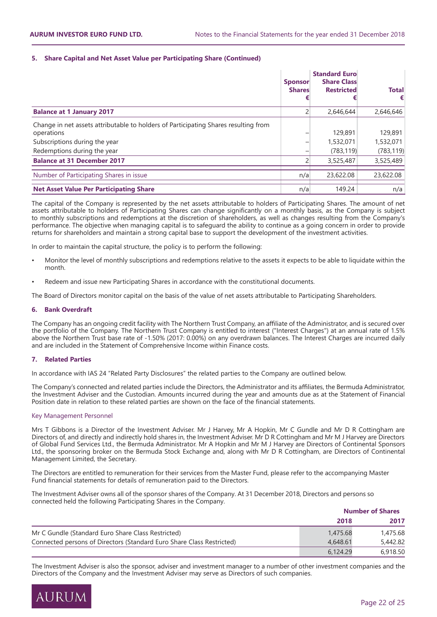#### **5. Share Capital and Net Asset Value per Participating Share (Continued)**

|                                                                                     | <b>Sponsor</b><br><b>Shares</b> | <b>Standard Euro</b><br><b>Share Class</b><br><b>Restricted</b> | <b>Total</b><br>€ |
|-------------------------------------------------------------------------------------|---------------------------------|-----------------------------------------------------------------|-------------------|
| <b>Balance at 1 January 2017</b>                                                    |                                 | 2,646,644                                                       | 2,646,646         |
| Change in net assets attributable to holders of Participating Shares resulting from |                                 |                                                                 |                   |
| operations                                                                          |                                 | 129,891                                                         | 129,891           |
| Subscriptions during the year                                                       |                                 | 1,532,071                                                       | 1,532,071         |
| Redemptions during the year                                                         |                                 | (783, 119)                                                      | (783, 119)        |
| <b>Balance at 31 December 2017</b>                                                  |                                 | 3,525,487                                                       | 3,525,489         |
| Number of Participating Shares in issue                                             | n/a                             | 23,622.08                                                       | 23,622.08         |
| <b>Net Asset Value Per Participating Share</b>                                      | n/a                             | 149.24                                                          | n/a               |

The capital of the Company is represented by the net assets attributable to holders of Participating Shares. The amount of net assets attributable to holders of Participating Shares can change significantly on a monthly basis, as the Company is subject to monthly subscriptions and redemptions at the discretion of shareholders, as well as changes resulting from the Company's performance. The objective when managing capital is to safeguard the ability to continue as a going concern in order to provide returns for shareholders and maintain a strong capital base to support the development of the investment activities.

In order to maintain the capital structure, the policy is to perform the following:

- Monitor the level of monthly subscriptions and redemptions relative to the assets it expects to be able to liquidate within the month.
- Redeem and issue new Participating Shares in accordance with the constitutional documents.

The Board of Directors monitor capital on the basis of the value of net assets attributable to Participating Shareholders.

#### **6. Bank Overdraft**

The Company has an ongoing credit facility with The Northern Trust Company, an affiliate of the Administrator, and is secured over the portfolio of the Company. The Northern Trust Company is entitled to interest ("Interest Charges") at an annual rate of 1.5% above the Northern Trust base rate of -1.50% (2017: 0.00%) on any overdrawn balances. The Interest Charges are incurred daily and are included in the Statement of Comprehensive Income within Finance costs.

#### **7. Related Parties**

In accordance with IAS 24 "Related Party Disclosures" the related parties to the Company are outlined below.

The Company's connected and related parties include the Directors, the Administrator and its affiliates, the Bermuda Administrator, the Investment Adviser and the Custodian. Amounts incurred during the year and amounts due as at the Statement of Financial Position date in relation to these related parties are shown on the face of the financial statements.

#### Key Management Personnel

Mrs T Gibbons is a Director of the Investment Adviser. Mr J Harvey, Mr A Hopkin, Mr C Gundle and Mr D R Cottingham are Directors of, and directly and indirectly hold shares in, the Investment Adviser. Mr D R Cottingham and Mr M J Harvey are Directors of Global Fund Services Ltd., the Bermuda Administrator. Mr A Hopkin and Mr M J Harvey are Directors of Continental Sponsors Ltd., the sponsoring broker on the Bermuda Stock Exchange and, along with Mr D R Cottingham, are Directors of Continental Management Limited, the Secretary.

The Directors are entitled to remuneration for their services from the Master Fund, please refer to the accompanying Master Fund financial statements for details of remuneration paid to the Directors.

The Investment Adviser owns all of the sponsor shares of the Company. At 31 December 2018, Directors and persons so connected held the following Participating Shares in the Company.

|                                                                       |          | <b>Number of Shares</b> |  |  |
|-----------------------------------------------------------------------|----------|-------------------------|--|--|
|                                                                       | 2018     | 2017                    |  |  |
| Mr C Gundle (Standard Euro Share Class Restricted)                    | 1,475.68 | 1,475.68                |  |  |
| Connected persons of Directors (Standard Euro Share Class Restricted) | 4,648.61 | 5,442.82                |  |  |
|                                                                       | 6.124.29 | 6,918.50                |  |  |

The Investment Adviser is also the sponsor, adviser and investment manager to a number of other investment companies and the Directors of the Company and the Investment Adviser may serve as Directors of such companies.

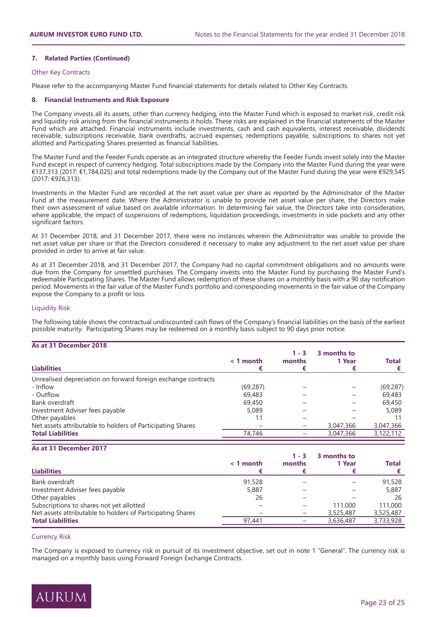#### **7. Related Parties (Continued)**

#### Other Key Contracts

Please refer to the accompanying Master Fund financial statements for details related to Other Key Contracts.

#### **8. Financial Instruments and Risk Exposure**

The Company invests all its assets, other than currency hedging, into the Master Fund which is exposed to market risk, credit risk and liquidity risk arising from the financial instruments it holds. These risks are explained in the financial statements of the Master Fund which are attached. Financial instruments include investments, cash and cash equivalents, interest receivable, dividends receivable, subscriptions receivable, bank overdrafts, accrued expenses, redemptions payable, subscriptions to shares not yet allotted and Participating Shares presented as financial liabilities.

The Master Fund and the Feeder Funds operate as an integrated structure whereby the Feeder Funds invest solely into the Master Fund except in respect of currency hedging. Total subscriptions made by the Company into the Master Fund during the year were €137,313 (2017: €1,784,025) and total redemptions made by the Company out of the Master Fund during the year were €929,545 (2017: €926,313).

Investments in the Master Fund are recorded at the net asset value per share as reported by the Administrator of the Master Fund at the measurement date. Where the Administrator is unable to provide net asset value per share, the Directors make their own assessment of value based on available information. In determining fair value, the Directors take into consideration, where applicable, the impact of suspensions of redemptions, liquidation proceedings, investments in side pockets and any other significant factors.

At 31 December 2018, and 31 December 2017, there were no instances wherein the Administrator was unable to provide the net asset value per share or that the Directors considered it necessary to make any adjustment to the net asset value per share provided in order to arrive at fair value.

As at 31 December 2018, and 31 December 2017, the Company had no capital commitment obligations and no amounts were due from the Company for unsettled purchases. The Company invests into the Master Fund by purchasing the Master Fund's redeemable Participating Shares. The Master Fund allows redemption of these shares on a monthly basis with a 90 day notification period. Movements in the fair value of the Master Fund's portfolio and corresponding movements in the fair value of the Company expose the Company to a profit or loss.

#### Liquidity Risk

The following table shows the contractual undiscounted cash flows of the Company's financial liabilities on the basis of the earliest possible maturity. Participating Shares may be redeemed on a monthly basis subject to 90 days prior notice.

#### **As at 31 December 2018**

| <b>Liabilities</b>                                            | $< 1$ month | $1 - 3$<br>months | 3 months to<br>1 Year | <b>Total</b> |
|---------------------------------------------------------------|-------------|-------------------|-----------------------|--------------|
| Unrealised depreciation on forward foreign exchange contracts |             |                   |                       |              |
| - Inflow                                                      | (69, 287)   |                   |                       | (69, 287)    |
| - Outflow                                                     | 69,483      |                   |                       | 69,483       |
| Bank overdraft                                                | 69,450      |                   |                       | 69,450       |
| Investment Adviser fees payable                               | 5,089       |                   |                       | 5,089        |
| Other payables                                                |             |                   |                       |              |
| Net assets attributable to holders of Participating Shares    |             |                   | 3,047,366             | 3,047,366    |
| <b>Total Liabilities</b>                                      | 74,746      |                   | 3,047,366             | 3,122,112    |

#### **As at 31 December 2017**

| <b>Liabilities</b>                                         | $\leq 1$ month | $1 - 3$<br>months | 3 months to<br>1 Year | <b>Total</b> |
|------------------------------------------------------------|----------------|-------------------|-----------------------|--------------|
| Bank overdraft                                             | 91,528         |                   |                       | 91,528       |
| Investment Adviser fees payable                            | 5,887          |                   |                       | 5,887        |
| Other payables                                             | 26             |                   |                       | 26           |
| Subscriptions to shares not yet allotted                   |                |                   | 111,000               | 111,000      |
| Net assets attributable to holders of Participating Shares |                |                   | 3,525,487             | 3,525,487    |
| <b>Total Liabilities</b>                                   | 97,441         |                   | 3,636,487             | 3,733,928    |
|                                                            |                |                   |                       |              |

#### Currency Risk

The Company is exposed to currency risk in pursuit of its investment objective, set out in note 1 "General". The currency risk is managed on a monthly basis using Forward Foreign Exchange Contracts.

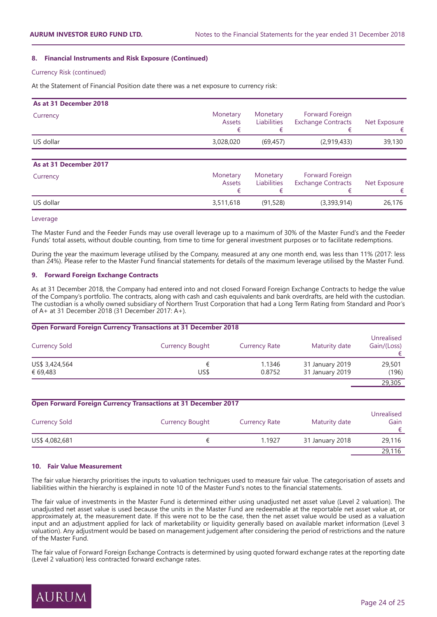#### **8. Financial Instruments and Risk Exposure (Continued)**

#### Currency Risk (continued)

At the Statement of Financial Position date there was a net exposure to currency risk:

| As at 31 December 2018 |                                |                              |                                                   |                   |
|------------------------|--------------------------------|------------------------------|---------------------------------------------------|-------------------|
| Currency               | Monetary<br><b>Assets</b><br>€ | Monetary<br>Liabilities<br>€ | Forward Foreign<br><b>Exchange Contracts</b>      | Net Exposure<br>€ |
| US dollar              | 3,028,020                      | (69, 457)                    | (2,919,433)                                       | 39,130            |
|                        |                                |                              |                                                   |                   |
| As at 31 December 2017 |                                |                              |                                                   |                   |
| Currency               | Monetary<br>Assets<br>€        | Monetary<br>Liabilities<br>€ | Forward Foreign<br><b>Exchange Contracts</b><br>€ | Net Exposure<br>€ |
| US dollar              | 3,511,618                      | (91, 528)                    | (3,393,914)                                       | 26,176            |

#### Leverage

The Master Fund and the Feeder Funds may use overall leverage up to a maximum of 30% of the Master Fund's and the Feeder Funds' total assets, without double counting, from time to time for general investment purposes or to facilitate redemptions.

During the year the maximum leverage utilised by the Company, measured at any one month end, was less than 11% (2017: less than 24%). Please refer to the Master Fund financial statements for details of the maximum leverage utilised by the Master Fund.

#### **9. Forward Foreign Exchange Contracts**

As at 31 December 2018, the Company had entered into and not closed Forward Foreign Exchange Contracts to hedge the value of the Company's portfolio. The contracts, along with cash and cash equivalents and bank overdrafts, are held with the custodian. The custodian is a wholly owned subsidiary of Northern Trust Corporation that had a Long Term Rating from Standard and Poor's of A+ at 31 December 2018 (31 December 2017: A+).

| <b>Open Forward Foreign Currency Transactions at 31 December 2018</b> |                 |                      |                 |                           |  |
|-----------------------------------------------------------------------|-----------------|----------------------|-----------------|---------------------------|--|
| <b>Currency Sold</b>                                                  | Currency Bought | <b>Currency Rate</b> | Maturity date   | Unrealised<br>Gain/(Loss) |  |
| US\$ 3,424,564                                                        |                 | 1.1346               | 31 January 2019 | 29,501                    |  |
| € 69,483                                                              | US\$            | 0.8752               | 31 January 2019 | (196)                     |  |
|                                                                       |                 |                      |                 | 29,305                    |  |

| <b>Open Forward Foreign Currency Transactions at 31 December 2017</b> |                        |                      |                 |                         |  |  |
|-----------------------------------------------------------------------|------------------------|----------------------|-----------------|-------------------------|--|--|
| <b>Currency Sold</b>                                                  | <b>Currency Bought</b> | <b>Currency Rate</b> | Maturity date   | Unrealised<br>Gain<br>€ |  |  |
| US\$ 4,082,681                                                        |                        | 1.1927               | 31 January 2018 | 29,116                  |  |  |
|                                                                       |                        |                      |                 | 29,116                  |  |  |

#### **10. Fair Value Measurement**

The fair value hierarchy prioritises the inputs to valuation techniques used to measure fair value. The categorisation of assets and liabilities within the hierarchy is explained in note 10 of the Master Fund's notes to the financial statements.

The fair value of investments in the Master Fund is determined either using unadiusted net asset value (Level 2 valuation). The unadjusted net asset value is used because the units in the Master Fund are redeemable at the reportable net asset value at, or approximately at, the measurement date. If this were not to be the case, then the net asset value would be used as a valuation input and an adjustment applied for lack of marketability or liquidity generally based on available market information (Level 3 valuation). Any adjustment would be based on management judgement after considering the period of restrictions and the nature of the Master Fund.

The fair value of Forward Foreign Exchange Contracts is determined by using quoted forward exchange rates at the reporting date (Level 2 valuation) less contracted forward exchange rates.